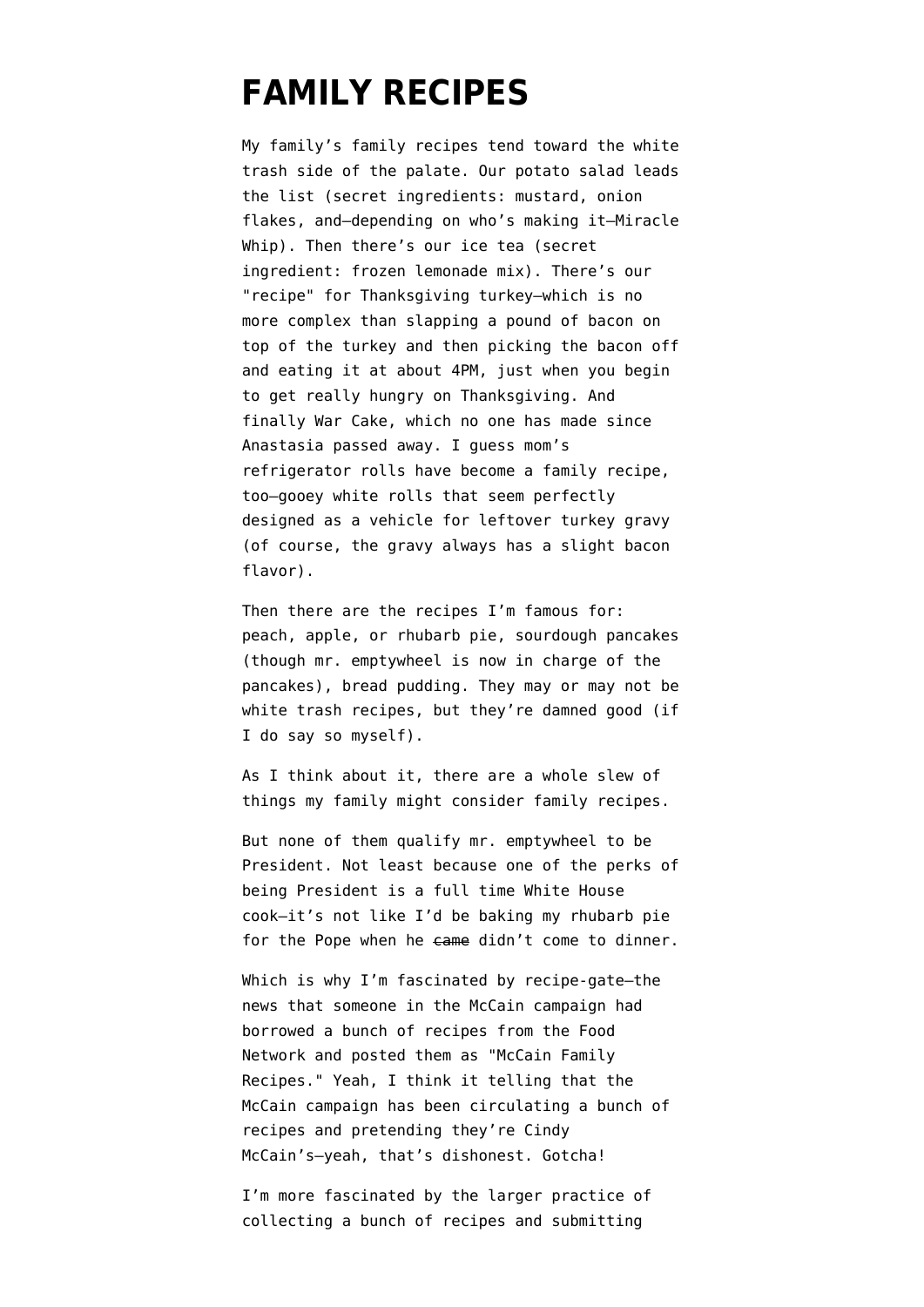## **[FAMILY RECIPES](https://www.emptywheel.net/2008/04/16/family-recipes/)**

My family's family recipes tend toward the white trash side of the palate. Our potato salad leads the list (secret ingredients: mustard, onion flakes, and–depending on who's making it–Miracle Whip). Then there's our ice tea (secret ingredient: frozen lemonade mix). There's our "recipe" for Thanksgiving turkey–which is no more complex than slapping a pound of bacon on top of the turkey and then picking the bacon off and eating it at about 4PM, just when you begin to get really hungry on Thanksgiving. And finally War Cake, which no one has made since Anastasia passed away. I guess mom's refrigerator rolls have become a family recipe, too–gooey white rolls that seem perfectly designed as a vehicle for leftover turkey gravy (of course, the gravy always has a slight bacon flavor).

Then there are the recipes I'm famous for: peach, apple, or rhubarb pie, sourdough pancakes (though mr. emptywheel is now in charge of the pancakes), bread pudding. They may or may not be white trash recipes, but they're damned good (if I do say so myself).

As I think about it, there are a whole slew of things my family might consider family recipes.

But none of them qualify mr. emptywheel to be President. Not least because one of the perks of being President is a full time White House cook–it's not like I'd be baking my rhubarb pie for the Pope when he came didn't come to dinner.

Which is why I'm fascinated by recipe-gate-the news that someone in the McCain campaign [had](http://www.huffingtonpost.com/david-weiner/mccain-family-recipes-lif_b_96666.html) [borrowed](http://www.huffingtonpost.com/david-weiner/mccain-family-recipes-lif_b_96666.html) a bunch of recipes from the Food Network and posted them as "McCain Family Recipes." Yeah, I think it telling that the McCain campaign has been circulating a bunch of recipes and pretending they're Cindy McCain's–yeah, that's dishonest. Gotcha!

I'm more fascinated by the larger practice of collecting a bunch of recipes and submitting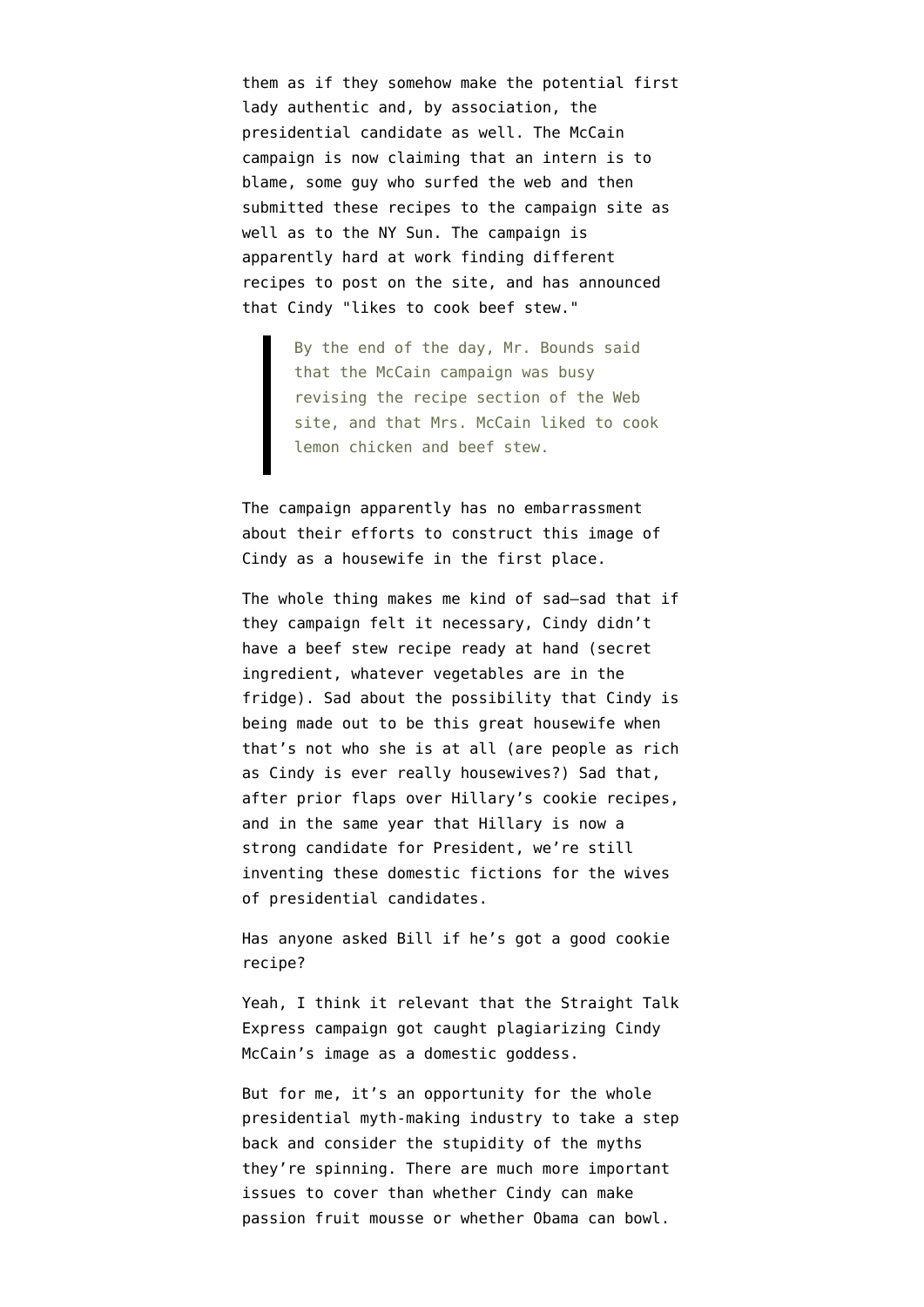them as if they somehow make the potential first lady authentic and, by association, the presidential candidate as well. The McCain campaign is [now claiming](http://www.nytimes.com/2008/04/16/us/politics/16recipes.html) that an intern is to blame, some guy who surfed the web and then submitted these recipes to the campaign site as well as to the NY Sun. The campaign is apparently hard at work finding different recipes to post on the site, and has [announced](http://www.nytimes.com/2008/04/16/us/politics/16recipes.html) that Cindy "likes to cook beef stew."

> By the end of the day, Mr. Bounds said that the McCain campaign was busy revising the recipe section of the Web site, and that Mrs. McCain liked to cook lemon chicken and beef stew.

The campaign apparently has no embarrassment about their efforts to construct this image of Cindy as a housewife in the first place.

The whole thing makes me kind of sad–sad that if they campaign felt it necessary, Cindy didn't have a beef stew recipe ready at hand (secret ingredient, whatever vegetables are in the fridge). Sad about the possibility that Cindy is being made out to be this great housewife when that's not who she is at all (are people as rich as Cindy is ever really housewives?) Sad that, after prior flaps over Hillary's cookie recipes, and in the same year that Hillary is now a strong candidate for President, we're still inventing these domestic fictions for the wives of presidential candidates.

Has anyone asked Bill if he's got a good cookie recipe?

Yeah, I think it relevant that the Straight Talk Express campaign got caught plagiarizing Cindy McCain's image as a domestic goddess.

But for me, it's an opportunity for the whole presidential myth-making industry to take a step back and consider the stupidity of the myths they're spinning. There are much more important issues to cover than whether Cindy can make passion fruit mousse or whether Obama can bowl.